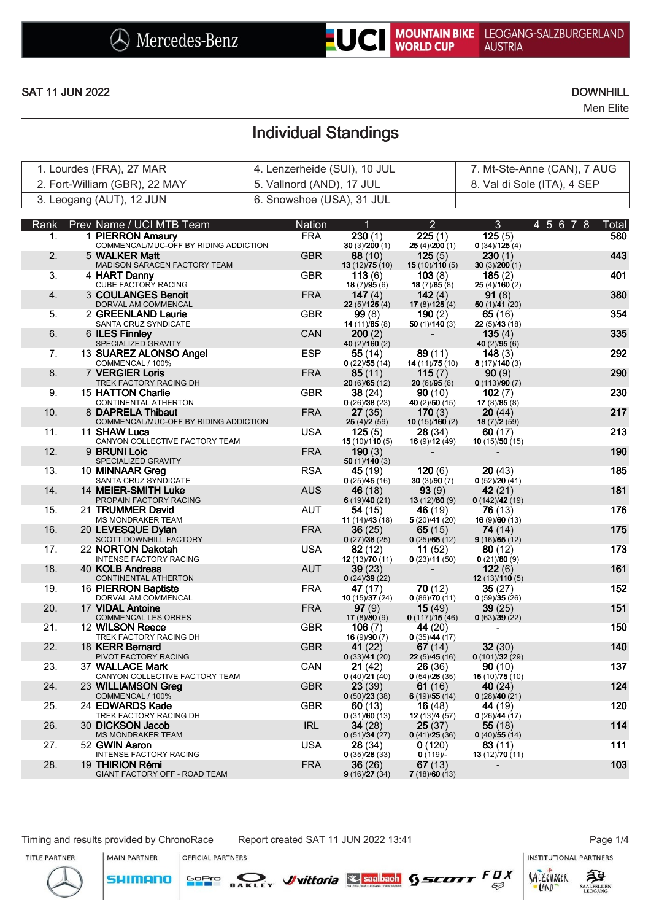Men Elite

# Individual Standings

| 1. Lourdes (FRA), 27 MAR      | 4. Lenzerheide (SUI), 10 JUL | 7. Mt-Ste-Anne (CAN), 7 AUG |
|-------------------------------|------------------------------|-----------------------------|
| 2. Fort-William (GBR), 22 MAY | 5. Vallnord (AND), 17 JUL    | 8. Val di Sole (ITA), 4 SEP |
| 3. Leogang (AUT), 12 JUN      | 6. Snowshoe (USA), 31 JUL    |                             |

| Rank | Prev Name / UCI MTB Team                                   | Nation     | 1                         | $\overline{2}$                      | 3                              | 4 5 6 7 8<br>Total |
|------|------------------------------------------------------------|------------|---------------------------|-------------------------------------|--------------------------------|--------------------|
| 1.   | 1 PIERRON Amaury<br>COMMENCAL/MUC-OFF BY RIDING ADDICTION  | <b>FRA</b> | 230(1)<br>30(3)/200(1)    | $\overline{2}25(1)$<br>25(4)/200(1) | 125(5)<br>0(34)/125(4)         | 580                |
| 2.   | 5 WALKER Matt                                              | <b>GBR</b> | 88 (10)                   | 125(5)                              | 230(1)                         | 443                |
|      | MADISON SARACEN FACTORY TEAM                               |            | 13 (12)/75 (10)           | 15(10)/110(5)                       | 30(3)/200(1)                   |                    |
| 3.   | 4 HART Danny<br>CUBE FACTORY RACING                        | <b>GBR</b> | 113(6)<br>18(7)/95(6)     | 103(8)<br>18(7)/85(8)               | 185(2)<br>25(4)/160(2)         | 401                |
| 4.   | 3 COULANGES Benoit<br>DORVAL AM COMMENCAL                  | <b>FRA</b> | 147 $(4)$<br>22(5)/125(4) | 142(4)<br>17(8)/125(4)              | 91(8)<br>50 $(1)/41(20)$       | 380                |
| 5.   | 2 GREENLAND Laurie                                         | <b>GBR</b> | 99(8)                     | 190(2)                              | 65(16)                         | 354                |
| 6.   | SANTA CRUZ SYNDICATE<br>6 ILES Finnley                     | <b>CAN</b> | 14(11)/85(8)<br>200(2)    | 50(1)/140(3)                        | 22(5)/43(18)<br>135(4)         | 335                |
|      | SPECIALIZED GRAVITY                                        |            | 40 (2)/160 (2)            |                                     | 40 $(2)/95(6)$                 |                    |
| 7.   | 13 SUAREZ ALONSO Angel<br>COMMENCAL / 100%                 | <b>ESP</b> | 55 (14)<br>0(22)/55(14)   | 89(11)<br>14 (11)/75 (10)           | 148(3)<br>8(17)/140(3)         | 292                |
| 8.   | <b>7 VERGIER Loris</b>                                     | <b>FRA</b> | 85(11)                    | 115(7)                              | 90(9)                          | 290                |
| 9.   | TREK FACTORY RACING DH<br>15 HATTON Charlie                | <b>GBR</b> | 20(6)/65(12)<br>38 (24)   | 20(6)/95(6)<br>90(10)               | 0(113)/90(7)<br>102(7)         | 230                |
|      | CONTINENTAL ATHERTON                                       |            | 0(26)/38(23)              | 40 (2)/50 (15)                      | 17(8)/85(8)                    |                    |
| 10.  | 8 DAPRELA Thibaut<br>COMMENCAL/MUC-OFF BY RIDING ADDICTION | <b>FRA</b> | 27 (35)<br>25(4)/2(59)    | 170(3)<br>10(15)/160(2)             | 20(44)<br>18(7)/2(59)          | 217                |
| 11.  | 11 SHAW Luca                                               | <b>USA</b> | 125(5)                    | 28 (34)                             | 60(17)                         | 213                |
| 12.  | CANYON COLLECTIVE FACTORY TEAM<br>9 BRUNI Loic             | <b>FRA</b> | 15(10)/110(5)<br>190(3)   | 16 (9)/12 (49)                      | 10(15)/50(15)                  | 190                |
|      | SPECIALIZED GRAVITY                                        |            | 50(1)/140(3)              |                                     |                                |                    |
| 13.  | 10 MINNAAR Greg<br>SANTA CRUZ SYNDICATE                    | <b>RSA</b> | 45 (19)<br>0(25)/45(16)   | 120(6)<br>30(3)/90(7)               | 20(43)<br>0(52)/20(41)         | 185                |
| 14.  | 14 MEIER-SMITH Luke                                        | <b>AUS</b> | 46 (18)                   | 93(9)                               | 42(21)                         | 181                |
| 15.  | PROPAIN FACTORY RACING<br>21 TRUMMER David                 | <b>AUT</b> | 6(19)/40(21)<br>54 (15)   | 13(12)/80(9)<br>46 (19)             | 0(142)/42(19)<br>76(13)        | 176                |
|      | MS MONDRAKER TEAM                                          |            | 11 $(14)/43(18)$          | 5(20)/41(20)                        | 16(9)/60(13)                   |                    |
| 16.  | 20 LEVESQUE Dylan<br>SCOTT DOWNHILL FACTORY                | <b>FRA</b> | 36 (25)<br>0(27)/36(25)   | 65 (15)<br>0(25)/65(12)             | 74 (14)<br>9(16)/65(12)        | 175                |
| 17.  | 22 NORTON Dakotah                                          | <b>USA</b> | 82 (12)                   | 11(52)                              | 80(12)                         | 173                |
| 18.  | <b>INTENSE FACTORY RACING</b><br>40 KOLB Andreas           | <b>AUT</b> | 12(13)/70(11)<br>39(23)   | 0(23)/11(50)                        | 0(21)/80(9)<br>122(6)          | 161                |
|      | CONTINENTAL ATHERTON                                       |            | 0(24)/39(22)              |                                     | 12(13)/110(5)                  |                    |
| 19.  | 16 PIERRON Baptiste<br>DORVAL AM COMMENCAL                 | <b>FRA</b> | 47 (17)<br>10(15)/37(24)  | 70 (12)<br>0(86)/70(11)             | 35(27)<br>0(59)/35(26)         | 152                |
| 20.  | 17 VIDAL Antoine                                           | <b>FRA</b> | 97(9)                     | 15(49)                              | 39(25)                         | 151                |
| 21.  | COMMENCAL LES ORRES<br>12 WILSON Reece                     | <b>GBR</b> | 17(8)/80(9)<br>106(7)     | 0(117)/15(46)<br>44 (20)            | 0(63)/39(22)                   | 150                |
|      | TREK FACTORY RACING DH                                     |            | 16(9)/90(7)               | 0(35)/44(17)                        |                                |                    |
| 22.  | 18 KERR Bernard<br>PIVOT FACTORY RACING                    | <b>GBR</b> | 41 (22)<br>0(33)/41(20)   | 67 $(14)$<br>22(5)/45(16)           | 32(30)<br>0(101)/32(29)        | 140                |
| 23.  | 37 WALLACE Mark                                            | CAN        | 21 (42)                   | 26 (36)                             | 90(10)                         | 137                |
| 24.  | CANYON COLLECTIVE FACTORY TEAM<br>23 WILLIAMSON Greg       | <b>GBR</b> | 0(40)/21(40)<br>23(39)    | 0(54)/26(35)<br>61 $(16)$           | 15 (10)/75 (10)<br>40 $(24)$   | 124                |
|      | COMMENCAL / 100%                                           |            | 0(50)/23(38)              | 6(19)/55(14)                        | 0(28)/40(21)                   |                    |
| 25.  | 24 EDWARDS Kade<br>TREK FACTORY RACING DH                  | <b>GBR</b> | 60(13)<br>0(31)/60(13)    | 16(48)<br>12 (13)/4 (57)            | <b>44</b> (19)<br>0(26)/44(17) | 120                |
| 26.  | 30 DICKSON Jacob                                           | <b>IRL</b> | <b>34</b> (28)            | 25(37)                              | 55(18)                         | 114                |
| 27.  | <b>MS MONDRAKER TEAM</b><br>52 GWIN Aaron                  | <b>USA</b> | 0(51)/34(27)<br>28 (34)   | 0(41)/25(36)<br>0(120)              | 0(40)/55(14)<br>83(11)         | 111                |
|      | INTENSE FACTORY RACING                                     |            | 0(35)/28(33)              | $0(119)/-$                          | 13 $(12)/70(11)$               |                    |
| 28.  | 19 THIRION Rémi<br>GIANT FACTORY OFF - ROAD TEAM           | <b>FRA</b> | 36 (26)<br>9(16)/27(34)   | 67(13)<br>7(18)/60(13)              |                                | 103                |
|      |                                                            |            |                           |                                     |                                |                    |

### Timing and results provided by ChronoRace Report created SAT 11 JUN 2022 13:41 Page 1/4

MAIN PARTNER

**SHIMANO** 

**INSTITUTIONAL PARTNERS** 

ट्रीडे

**SAALFELDEN** 

SALZOVREER

LAND

 $53$ 

TITLE PARTNER



OFFICIAL PARTNERS

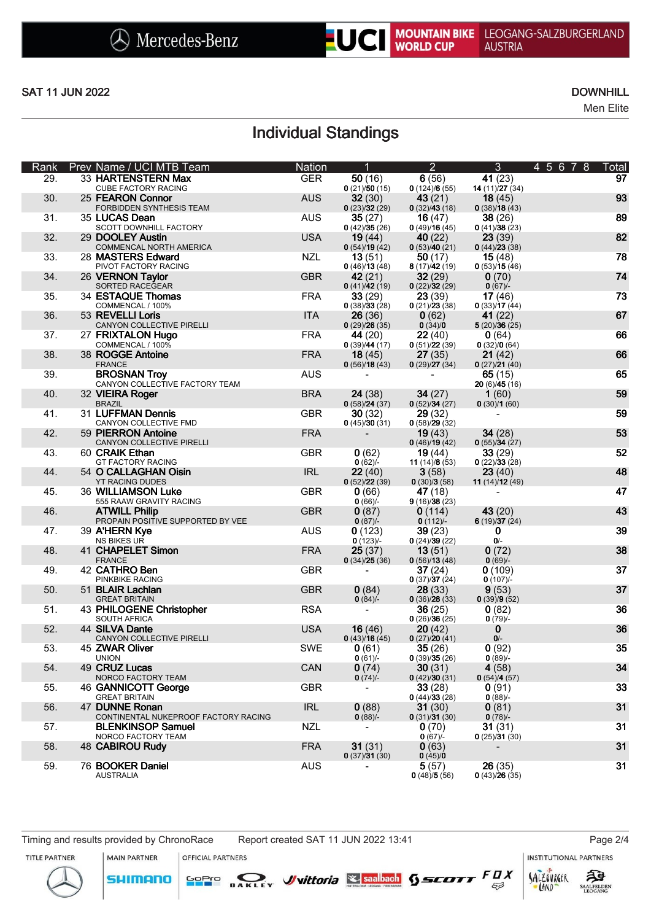Men Elite

# Individual Standings

| Rank | Prev Name / UCI MTB Team                                         | <b>Nation</b> | 1                            | $\overline{2}$            | $\mathfrak{B}$             | 4 5 6 7 8 | Total |
|------|------------------------------------------------------------------|---------------|------------------------------|---------------------------|----------------------------|-----------|-------|
| 29.  | 33 HARTENSTERN Max                                               | <b>GER</b>    | 50(16)                       | 6(56)                     | 41(23)                     |           | 97    |
| 30.  | <b>CUBE FACTORY RACING</b><br>25 FEARON Connor                   | <b>AUS</b>    | 0(21)/50(15)<br>32(30)       | 0(124)/6(55)<br>43(21)    | 14 $(11)/27(34)$<br>18(45) |           | 93    |
|      | FORBIDDEN SYNTHESIS TEAM                                         |               | 0(23)/32(29)                 | 0(32)/43(18)              | 0(38)/18(43)               |           |       |
| 31.  | 35 LUCAS Dean<br>SCOTT DOWNHILL FACTORY                          | <b>AUS</b>    | 35(27)<br>0(42)/35(26)       | 16(47)<br>0(49)/16(45)    | 38(26)<br>0(41)/38(23)     |           | 89    |
| 32.  | 29 DOOLEY Austin                                                 | <b>USA</b>    | 19(44)                       | <b>40</b> (22)            | 23(39)                     |           | 82    |
| 33.  | COMMENCAL NORTH AMERICA<br>28 MASTERS Edward                     | <b>NZL</b>    | 0(54)/19(42)<br>13(51)       | 0(53)/40(21)<br>50 $(17)$ | 0(44)/23(38)<br>15(48)     |           | 78    |
|      | PIVOT FACTORY RACING                                             |               | 0(46)/13(48)                 | 8(17)/42(19)              | 0(53)/15(46)               |           |       |
| 34.  | 26 VERNON Taylor<br>SORTED RACEGEAR                              | <b>GBR</b>    | 42(21)<br>0(41)/42(19)       | 32(29)<br>0(22)/32(29)    | 0(70)<br>$0(67)$ /-        |           | 74    |
| 35.  | 34 ESTAQUE Thomas                                                | <b>FRA</b>    | 33(29)                       | 23(39)                    | 17(46)                     |           | 73    |
| 36.  | COMMENCAL / 100%<br>53 REVELLI Loris                             | <b>ITA</b>    | 0(38)/33(28)<br>26(36)       | 0(21)/23(38)<br>0(62)     | 0(33)/17(44)<br>41(22)     |           | 67    |
|      | CANYON COLLECTIVE PIRELLI                                        |               | 0(29)/26(35)                 | 0(34)/0                   | 5(20)/36(25)               |           |       |
| 37.  | 27 FRIXTALON Hugo                                                | <b>FRA</b>    | 44 (20)                      | 22(40)                    | 0(64)                      |           | 66    |
| 38.  | COMMENCAL / 100%<br>38 ROGGE Antoine                             | <b>FRA</b>    | 0(39)/44(17)<br>18(45)       | 0(51)/22(39)<br>27(35)    | 0(32)/0(64)<br>21(42)      |           | 66    |
|      | <b>FRANCE</b>                                                    |               | 0(56)/18(43)                 | 0(29)/27(34)              | 0(27)/21(40)               |           |       |
| 39.  | <b>BROSNAN Troy</b><br>CANYON COLLECTIVE FACTORY TEAM            | <b>AUS</b>    |                              |                           | 65 $(15)$<br>20(6)/45(16)  |           | 65    |
| 40.  | 32 VIEIRA Roger                                                  | <b>BRA</b>    | 24(38)                       | 34(27)                    | 1(60)                      |           | 59    |
| 41.  | <b>BRAZIL</b><br>31 LUFFMAN Dennis                               | <b>GBR</b>    | 0(58)/24(37)<br>30(32)       | 0(52)/34(27)<br>29(32)    | 0(30)/1(60)                |           | 59    |
|      | CANYON COLLECTIVE FMD                                            |               | 0(45)/30(31)                 | 0(58)/29(32)              |                            |           |       |
| 42.  | 59 PIERRON Antoine<br>CANYON COLLECTIVE PIRELLI                  | <b>FRA</b>    |                              | 19(43)<br>0(46)/19(42)    | 34(28)<br>0(55)/34(27)     |           | 53    |
| 43.  | 60 CRAIK Ethan                                                   | <b>GBR</b>    | 0(62)                        | 19(44)                    | 33(29)                     |           | 52    |
| 44.  | <b>GT FACTORY RACING</b>                                         | <b>IRL</b>    | $0(62)$ /-                   | 11 $(14)/8(53)$           | 0(22)/33(28)               |           | 48    |
|      | 54 O CALLAGHAN Oisin<br><b>YT RACING DUDES</b>                   |               | 22(40)<br>0(52)/22(39)       | 3(58)<br>0(30)/3(58)      | 23(40)<br>11 $(14)/12(49)$ |           |       |
| 45.  | 36 WILLIAMSON Luke                                               | <b>GBR</b>    | 0(66)                        | 47 (18)                   |                            |           | 47    |
| 46.  | 555 RAAW GRAVITY RACING<br><b>ATWILL Philip</b>                  | <b>GBR</b>    | 0(66)<br>0(87)               | 9(16)/38(23)<br>0(114)    | 43(20)                     |           | 43    |
|      | PROPAIN POSITIVE SUPPORTED BY VEE                                |               | $0(87)$ /-                   | $0(112)$ /-               | 6(19)/37(24)               |           |       |
| 47.  | 39 A'HERN Kye<br>NS BIKES UR                                     | <b>AUS</b>    | 0(123)<br>$0(123)/-$         | 39(23)<br>0(24)/39(22)    | 0<br>$0/-$                 |           | 39    |
| 48.  | 41 CHAPELET Simon                                                | <b>FRA</b>    | 25(37)                       | 13(51)                    | 0(72)                      |           | 38    |
| 49.  | <b>FRANCE</b><br>42 CATHRO Ben                                   | <b>GBR</b>    | 0(34)/25(36)                 | 0(56)/13(48)<br>37(24)    | $0(69)$ /-<br>0(109)       |           | 37    |
|      | PINKBIKE RACING                                                  |               |                              | 0(37)/37(24)              | $0(107)$ /-                |           |       |
| 50.  | 51 BLAIR Lachlan<br><b>GREAT BRITAIN</b>                         | <b>GBR</b>    | 0(84)<br>0(84)               | 28(33)<br>0(36)/28(33)    | 9(53)<br>0(39)/9(52)       |           | 37    |
| 51.  | 43 PHILOGENE Christopher                                         | <b>RSA</b>    |                              | 36(25)                    | 0(82)                      |           | 36    |
| 52.  | SOUTH AFRICA<br>44 SILVA Dante                                   | <b>USA</b>    | 16(46)                       | 0(26)/36(25)<br>20(42)    | $0(79)$ /-<br>$\bf{0}$     |           | 36    |
|      | CANYON COLLECTIVE PIRELLI                                        |               | 0(43)/16(45)                 | 0(27)/20(41)              | $0/-$                      |           |       |
| 53.  | 45 ZWAR Oliver<br><b>UNION</b>                                   | <b>SWE</b>    | 0(61)<br>0(61)               | 35(26)<br>0(39)/35(26)    | 0(92)<br>$0(89)$ /-        |           | 35    |
| 54.  | 49 CRUZ Lucas                                                    | CAN           | 0(74)                        | 30(31)                    | 4(58)                      |           | 34    |
|      | NORCO FACTORY TEAM                                               |               | 0(74)                        | 0(42)/30(31)              | 0(54)/4(57)                |           |       |
| 55.  | 46 GANNICOTT George<br><b>GREAT BRITAIN</b>                      | <b>GBR</b>    |                              | 33(28)<br>0(44)/33(28)    | 0(91)<br>$0(88)$ /-        |           | 33    |
| 56.  | 47 DUNNE Ronan                                                   | <b>IRL</b>    | 0(88)                        | 31(30)                    | 0(81)                      |           | 31    |
| 57.  | CONTINENTAL NUKEPROOF FACTORY RACING<br><b>BLENKINSOP Samuel</b> | NZL           | $0(88)$ /-<br>$\blacksquare$ | 0(31)/31(30)<br>0(70)     | 0(78)<br>31(31)            |           | 31    |
|      | NORCO FACTORY TEAM                                               |               |                              | $0(67)$ /-                | 0(25)/31(30)               |           |       |
| 58.  | <b>48 CABIROU Rudy</b>                                           | <b>FRA</b>    | 31(31)<br>0(37)/31(30)       | 0(63)<br>0(45)/0          |                            |           | 31    |
| 59.  | 76 BOOKER Daniel<br><b>AUSTRALIA</b>                             | <b>AUS</b>    |                              | 5(57)<br>0(48)/5(56)      | 26(35)<br>0(43)/26(35)     |           | 31    |

SHIMANO

**MAIN PARTNER** OFFICIAL PARTNERS

<mark>GoPr</mark>o





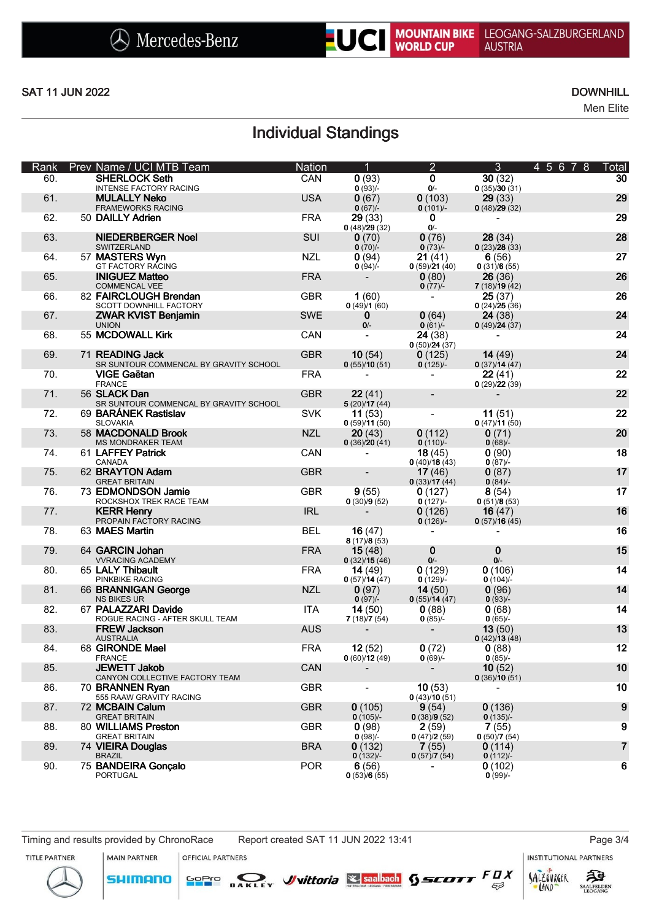Men Elite

# Individual Standings

| Rank | Prev Name / UCI MTB Team                                  | <b>Nation</b> | $\overline{1}$            | $\overline{2}$           | $\mathfrak{B}$         | 4 5 6 7 8<br>Total      |
|------|-----------------------------------------------------------|---------------|---------------------------|--------------------------|------------------------|-------------------------|
| 60.  | <b>SHERLOCK Seth</b><br><b>INTENSE FACTORY RACING</b>     | CAN           | 0(93)<br>$0(93)/$ -       | $\mathbf 0$<br>$0/-$     | 30(32)<br>0(35)/30(31) | 30                      |
| 61.  | <b>MULALLY Neko</b><br><b>FRAMEWORKS RACING</b>           | <b>USA</b>    | 0(67)<br>$0(67)$ /-       | 0(103)<br>$0(101)/-$     | 29(33)<br>0(48)/29(32) | 29                      |
| 62.  | 50 DAILLY Adrien                                          | <b>FRA</b>    | 29(33)<br>0(48)/29(32)    | $\mathbf 0$<br>$0/-$     |                        | 29                      |
| 63.  | <b>NIEDERBERGER Noel</b><br>SWITZERLAND                   | SUI           | 0(70)<br>$0(70)$ /-       | 0(76)<br>$0(73)/-$       | 28(34)<br>0(23)/28(33) | 28                      |
| 64.  | 57 MASTERS Wyn<br><b>GT FACTORY RACING</b>                | <b>NZL</b>    | 0(94)<br>0(94)            | 21(41)<br>0(59)/21(40)   | 6(56)<br>0(31)/6(55)   | 27                      |
| 65.  | <b>INIGUEZ Matteo</b><br><b>COMMENCAL VEE</b>             | <b>FRA</b>    |                           | 0(80)<br>$0(77)$ /-      | 26(36)<br>7(18)/19(42) | 26                      |
| 66.  | 82 FAIRCLOUGH Brendan<br>SCOTT DOWNHILL FACTORY           | <b>GBR</b>    | 1(60)<br>0(49)/1(60)      | $\overline{\phantom{a}}$ | 25(37)<br>0(24)/25(36) | 26                      |
| 67.  | <b>ZWAR KVIST Benjamin</b><br><b>UNION</b>                | <b>SWE</b>    | 0<br>$0/-$                | 0(64)<br>0(61)           | 24(38)<br>0(49)/24(37) | 24                      |
| 68.  | 55 MCDOWALL Kirk                                          | CAN           |                           | 24 (38)<br>0(50)/24(37)  |                        | 24                      |
| 69.  | 71 READING Jack<br>SR SUNTOUR COMMENCAL BY GRAVITY SCHOOL | <b>GBR</b>    | 10(54)<br>0(55)/10(51)    | 0(125)<br>$0(125)$ /-    | 14(49)<br>0(37)/14(47) | 24                      |
| 70.  | VIGE Gaëtan<br><b>FRANCE</b>                              | <b>FRA</b>    |                           |                          | 22(41)<br>0(29)/22(39) | 22                      |
| 71.  | 56 SLACK Dan<br>SR SUNTOUR COMMENCAL BY GRAVITY SCHOOL    | <b>GBR</b>    | 22(41)<br>5(20)/17(44)    |                          |                        | 22                      |
| 72.  | 69 BARÁNEK Rastislav<br><b>SLOVAKIA</b>                   | <b>SVK</b>    | 11(53)<br>0(59)/11(50)    | $\blacksquare$           | 11(51)<br>0(47)/11(50) | 22                      |
| 73.  | 58 MACDONALD Brook<br>MS MONDRAKER TEAM                   | <b>NZL</b>    | 20(43)<br>0(36)/20(41)    | 0(112)<br>$0(110)$ /-    | 0(71)<br>0(68)         | 20                      |
| 74.  | 61 LAFFEY Patrick<br>CANADA                               | CAN           |                           | 18(45)<br>0(40)/18(43)   | 0(90)<br>$0(87)$ /-    | 18                      |
| 75.  | 62 BRAYTON Adam<br><b>GREAT BRITAIN</b>                   | <b>GBR</b>    |                           | 17(46)<br>0(33)/17(44)   | 0(87)<br>0(84)         | 17                      |
| 76.  | 73 EDMONDSON Jamie<br>ROCKSHOX TREK RACE TEAM             | <b>GBR</b>    | 9(55)<br>0(30)/9(52)      | 0(127)<br>0(127)         | 8(54)<br>0(51)/8(53)   | 17                      |
| 77.  | <b>KERR Henry</b><br>PROPAIN FACTORY RACING               | <b>IRL</b>    |                           | 0(126)<br>0(126)         | 16(47)<br>0(57)/16(45) | 16                      |
| 78.  | 63 MAES Martin                                            | <b>BEL</b>    | 16 $(47)$<br>8(17)/8(53)  |                          |                        | 16                      |
| 79.  | 64 GARCIN Johan<br><b>VVRACING ACADEMY</b>                | <b>FRA</b>    | 15(48)<br>0(32)/15(46)    | $\bf{0}$<br>$0/-$        | $\bf{0}$<br>$O/-$      | 15                      |
| 80.  | 65 LALY Thibault<br>PINKBIKE RACING                       | <b>FRA</b>    | 14 $(49)$<br>0(57)/14(47) | 0(129)<br>$0(129)$ /-    | 0(106)<br>$0(104)$ /-  | 14                      |
| 81.  | 66 BRANNIGAN George<br><b>NS BIKES UR</b>                 | <b>NZL</b>    | 0(97)<br>$0(97)/-$        | 14(50)<br>0(55)/14(47)   | 0(96)<br>$0(93)/-$     | 14                      |
| 82.  | 67 PALAZZARI Davide<br>ROGUE RACING - AFTER SKULL TEAM    | <b>ITA</b>    | 14 $(50)$<br>7(18)/7(54)  | 0(88)<br>$0(85)$ /-      | 0(68)<br>$0(65)/-$     | 14                      |
| 83.  | <b>FREW Jackson</b><br><b>AUSTRALIA</b>                   | <b>AUS</b>    |                           | $\overline{\phantom{0}}$ | 13(50)<br>0(42)/13(48) | 13                      |
| 84.  | 68 GIRONDE Mael<br><b>FRANCE</b>                          | <b>FRA</b>    | 12(52)<br>0(60)/12(49)    | 0(72)<br>0(69)           | 0(88)<br>$0(85)/-$     | 12                      |
| 85.  | <b>JEWETT Jakob</b><br>CANYON COLLECTIVE FACTORY TEAM     | CAN           |                           |                          | 10(52)<br>0(36)/10(51) | 10                      |
| 86.  | 70 BRANNEN Ryan<br>555 RAAW GRAVITY RACING                | <b>GBR</b>    |                           | 10(53)<br>0(43)/10(51)   |                        | 10                      |
| 87.  | 72 MCBAIN Calum<br><b>GREAT BRITAIN</b>                   | <b>GBR</b>    | 0(105)<br>$0(105)/-$      | 9(54)<br>0(38)/9(52)     | 0(136)<br>$0(135)/-$   | $\boldsymbol{9}$        |
| 88.  | 80 WILLIAMS Preston<br><b>GREAT BRITAIN</b>               | <b>GBR</b>    | 0(98)<br>0(98)            | 2(59)<br>0(47)/2(59)     | 7(55)<br>0(50)/7(54)   | 9                       |
| 89.  | 74 VIEIRA Douglas<br><b>BRAZIL</b>                        | <b>BRA</b>    | 0(132)<br>$0(132)$ /-     | 7(55)<br>0(57)/7(54)     | 0(114)<br>$0(112)$ /-  | $\overline{\mathbf{r}}$ |
| 90.  | 75 BANDEIRA Gonçalo<br><b>PORTUGAL</b>                    | <b>POR</b>    | 6(56)<br>0(53)/6(55)      |                          | 0(102)<br>$0(99)/-$    | 6                       |

**MAIN PARTNER** 

SHIMANO

OFFICIAL PARTNERS

<mark>GoPr</mark>o

DAKLEY *J*uittoria Saalbach § SCOTT  $F \underset{\epsilon \beta}{\text{D} X}$ 







 $53$